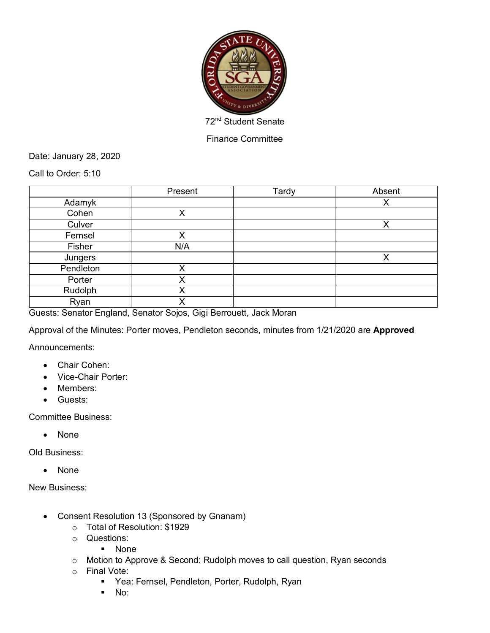

Finance Committee

Date: January 28, 2020

Call to Order: 5:10

|           | Present | Tardy | Absent |
|-----------|---------|-------|--------|
| Adamyk    |         |       | X      |
| Cohen     | Χ       |       |        |
| Culver    |         |       | X      |
| Fernsel   | Χ       |       |        |
| Fisher    | N/A     |       |        |
| Jungers   |         |       | v      |
| Pendleton | X       |       |        |
| Porter    | Χ       |       |        |
| Rudolph   | Χ       |       |        |
| Ryan      | v       |       |        |

Guests: Senator England, Senator Sojos, Gigi Berrouett, Jack Moran

Approval of the Minutes: Porter moves, Pendleton seconds, minutes from 1/21/2020 are **Approved**

Announcements:

- Chair Cohen:
- Vice-Chair Porter:
- Members:
- Guests:

Committee Business:

• None

Old Business:

• None

New Business:

- Consent Resolution 13 (Sponsored by Gnanam)
	- o Total of Resolution: \$1929
	- o Questions:
		- § None
	- o Motion to Approve & Second: Rudolph moves to call question, Ryan seconds
	- o Final Vote:
		- Yea: Fernsel, Pendleton, Porter, Rudolph, Ryan
		- § No: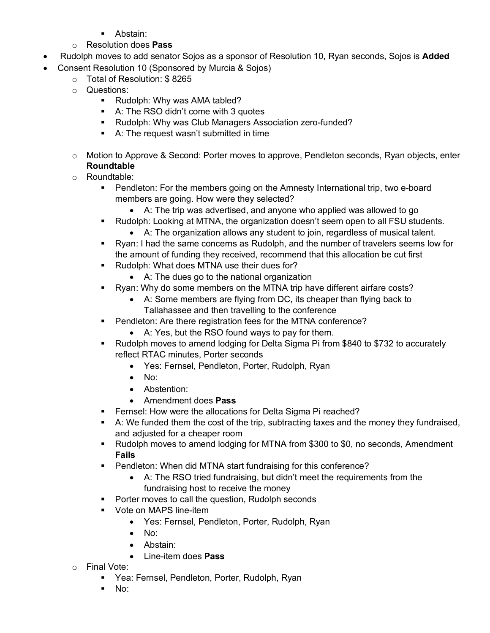- Abstain:
- o Resolution does **Pass**
- Rudolph moves to add senator Sojos as a sponsor of Resolution 10, Ryan seconds, Sojos is **Added**
- Consent Resolution 10 (Sponsored by Murcia & Sojos)
	- o Total of Resolution: \$ 8265
	- o Questions:
		- Rudolph: Why was AMA tabled?
		- A: The RSO didn't come with 3 quotes
		- § Rudolph: Why was Club Managers Association zero-funded?
		- A: The request wasn't submitted in time
	- $\circ$  Motion to Approve & Second: Porter moves to approve, Pendleton seconds, Ryan objects, enter **Roundtable**
	- o Roundtable:
		- Pendleton: For the members going on the Amnesty International trip, two e-board members are going. How were they selected?
			- A: The trip was advertised, and anyone who applied was allowed to go
		- § Rudolph: Looking at MTNA, the organization doesn't seem open to all FSU students.
			- A: The organization allows any student to join, regardless of musical talent.
		- § Ryan: I had the same concerns as Rudolph, and the number of travelers seems low for the amount of funding they received, recommend that this allocation be cut first
		- Rudolph: What does MTNA use their dues for?
			- A: The dues go to the national organization
		- Ryan: Why do some members on the MTNA trip have different airfare costs?
			- A: Some members are flying from DC, its cheaper than flying back to Tallahassee and then travelling to the conference
		- Pendleton: Are there registration fees for the MTNA conference?
			- A: Yes, but the RSO found ways to pay for them.
		- § Rudolph moves to amend lodging for Delta Sigma Pi from \$840 to \$732 to accurately reflect RTAC minutes, Porter seconds
			- Yes: Fernsel, Pendleton, Porter, Rudolph, Ryan
			- No:
			- Abstention:
			- Amendment does **Pass**
		- Fernsel: How were the allocations for Delta Sigma Pi reached?
		- **•** A: We funded them the cost of the trip, subtracting taxes and the money they fundraised, and adjusted for a cheaper room
		- Rudolph moves to amend lodging for MTNA from \$300 to \$0, no seconds, Amendment **Fails**
		- Pendleton: When did MTNA start fundraising for this conference?
			- A: The RSO tried fundraising, but didn't meet the requirements from the fundraising host to receive the money
		- Porter moves to call the question, Rudolph seconds
		- **Vote on MAPS line-item** 
			- Yes: Fernsel, Pendleton, Porter, Rudolph, Ryan
			- No:
			- Abstain:
			- Line-item does **Pass**
	- o Final Vote:
		- Yea: Fernsel, Pendleton, Porter, Rudolph, Ryan
		- No: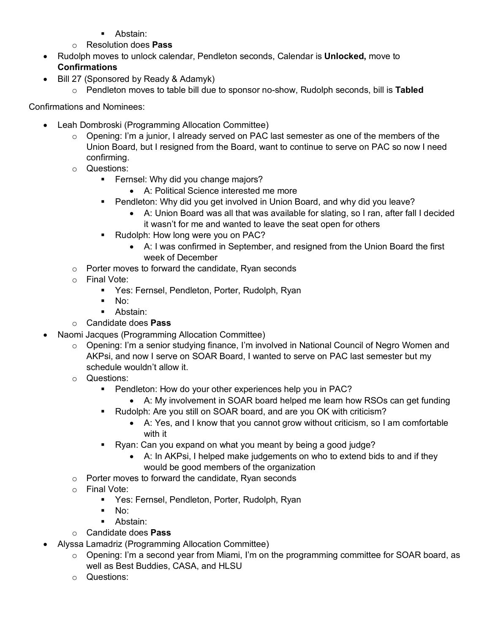- Abstain:
- o Resolution does **Pass**
- Rudolph moves to unlock calendar, Pendleton seconds, Calendar is **Unlocked,** move to **Confirmations**
- Bill 27 (Sponsored by Ready & Adamyk)
	- o Pendleton moves to table bill due to sponsor no-show, Rudolph seconds, bill is **Tabled**

Confirmations and Nominees:

- Leah Dombroski (Programming Allocation Committee)
	- $\circ$  Opening: I'm a junior, I already served on PAC last semester as one of the members of the Union Board, but I resigned from the Board, want to continue to serve on PAC so now I need confirming.
	- o Questions:
		- **•** Fernsel: Why did you change majors?
			- A: Political Science interested me more
		- § Pendleton: Why did you get involved in Union Board, and why did you leave?
			- A: Union Board was all that was available for slating, so I ran, after fall I decided it wasn't for me and wanted to leave the seat open for others
		- Rudolph: How long were you on PAC?
			- A: I was confirmed in September, and resigned from the Union Board the first week of December
	- o Porter moves to forward the candidate, Ryan seconds
	- o Final Vote:
		- § Yes: Fernsel, Pendleton, Porter, Rudolph, Ryan
		- $\blacksquare$  No:
		- Abstain:
	- o Candidate does **Pass**
- Naomi Jacques (Programming Allocation Committee)
	- $\circ$  Opening: I'm a senior studying finance, I'm involved in National Council of Negro Women and AKPsi, and now I serve on SOAR Board, I wanted to serve on PAC last semester but my schedule wouldn't allow it.
	- o Questions:
		- Pendleton: How do your other experiences help you in PAC?
			- A: My involvement in SOAR board helped me learn how RSOs can get funding
		- Rudolph: Are you still on SOAR board, and are you OK with criticism?
			- A: Yes, and I know that you cannot grow without criticism, so I am comfortable with it
		- Ryan: Can you expand on what you meant by being a good judge?
			- A: In AKPsi, I helped make judgements on who to extend bids to and if they would be good members of the organization
	- o Porter moves to forward the candidate, Ryan seconds
	- o Final Vote:
		- Yes: Fernsel, Pendleton, Porter, Rudolph, Ryan
		- § No:
		- Abstain:
	- o Candidate does **Pass**
- Alyssa Lamadriz (Programming Allocation Committee)
	- $\circ$  Opening: I'm a second year from Miami, I'm on the programming committee for SOAR board, as well as Best Buddies, CASA, and HLSU
	- o Questions: